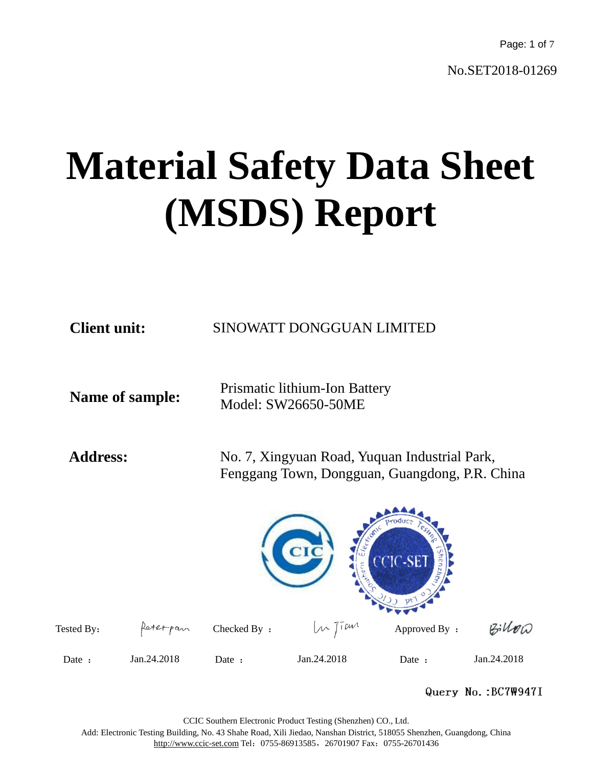Page: 1 of 7

No.SET2018-01269

# **Material Safety Data Sheet (MSDS) Report**

| <b>Client unit:</b>    | SINOWATT DONGGUAN LIMITED                                                                       |  |  |  |
|------------------------|-------------------------------------------------------------------------------------------------|--|--|--|
| <b>Name of sample:</b> | Prismatic lithium-Ion Battery<br>Model: SW26650-50ME                                            |  |  |  |
| <b>Address:</b>        | No. 7, Xingyuan Road, Yuquan Industrial Park,<br>Fenggang Town, Dongguan, Guangdong, P.R. China |  |  |  |
|                        | CIC                                                                                             |  |  |  |

Tested By:  $\int_{0}^{\infty} \int_{0}^{\infty} \text{Area} \cdot \text{Area} \cdot \text{Area} \cdot \text{Area} \cdot \text{Area} \cdot \text{Area} \cdot \text{Area} \cdot \text{Area} \cdot \text{Area} \cdot \text{Area} \cdot \text{Area} \cdot \text{Area} \cdot \text{Area} \cdot \text{Area} \cdot \text{Area} \cdot \text{Area} \cdot \text{Area} \cdot \text{Area} \cdot \text{Area} \cdot \text{Area} \cdot \text{Area} \cdot \text{Area} \cdot \text{Area} \cdot \text{Area} \cdot \text{Area} \cdot \text{Area} \cdot \text{Area} \cdot$  $Bilko$ Date : Jan.24.2018 Date : Jan.24.2018 Date : Jan.24.2018

#### Query No.: BC7W947I

CCIC Southern Electronic Product Testing (Shenzhen) CO., Ltd.

Add: Electronic Testing Building, No. 43 Shahe Road, Xili Jiedao, Nanshan District, 518055 Shenzhen, Guangdong, China http://www.ccic-set.com Tel: 0755-86913585, 26701907 Fax: 0755-26701436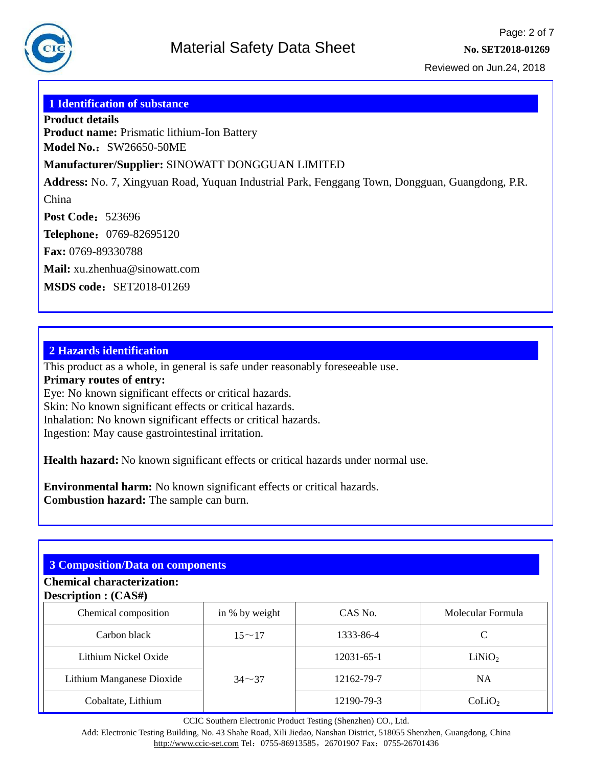

#### **1 Identification of substance**

**Product details Product name:** Prismatic lithium-Ion Battery **Model No.: SW26650-50ME** 

#### **Manufacturer/Supplier:** SINOWATT DONGGUAN LIMITED

**Address:** No. 7, Xingyuan Road, Yuquan Industrial Park, Fenggang Town, Dongguan, Guangdong, P.R. China

**Post Code: 523696** 

**Telephone**:0769-82695120

**Fax:** 0769-89330788

**Mail:** xu.zhenhua@sinowatt.com

**MSDS code: SET2018-01269** 

#### **2 Hazards identification**

This product as a whole, in general is safe under reasonably foreseeable use.

**Primary routes of entry:**

Eye: No known significant effects or critical hazards.

Skin: No known significant effects or critical hazards.

Inhalation: No known significant effects or critical hazards.

Ingestion: May cause gastrointestinal irritation.

**Health hazard:** No known significant effects or critical hazards under normal use.

**Environmental harm:** No known significant effects or critical hazards. **Combustion hazard:** The sample can burn.

#### **3 Composition/Data on components**

#### **Chemical characterization: Description : (CAS#)**

| Chemical composition      | in % by weight | CAS No.    | Molecular Formula  |
|---------------------------|----------------|------------|--------------------|
| Carbon black              | $15 \sim 17$   | 1333-86-4  |                    |
| Lithium Nickel Oxide      |                | 12031-65-1 | LiNiO <sub>2</sub> |
| Lithium Manganese Dioxide | $34 - 37$      | 12162-79-7 | <b>NA</b>          |
| Cobaltate, Lithium        |                | 12190-79-3 | Colio <sub>2</sub> |

CCIC Southern Electronic Product Testing (Shenzhen) CO., Ltd.

Add: Electronic Testing Building, No. 43 Shahe Road, Xili Jiedao, Nanshan District, 518055 Shenzhen, Guangdong, China http://www.ccic-set.com Tel: 0755-86913585, 26701907 Fax: 0755-26701436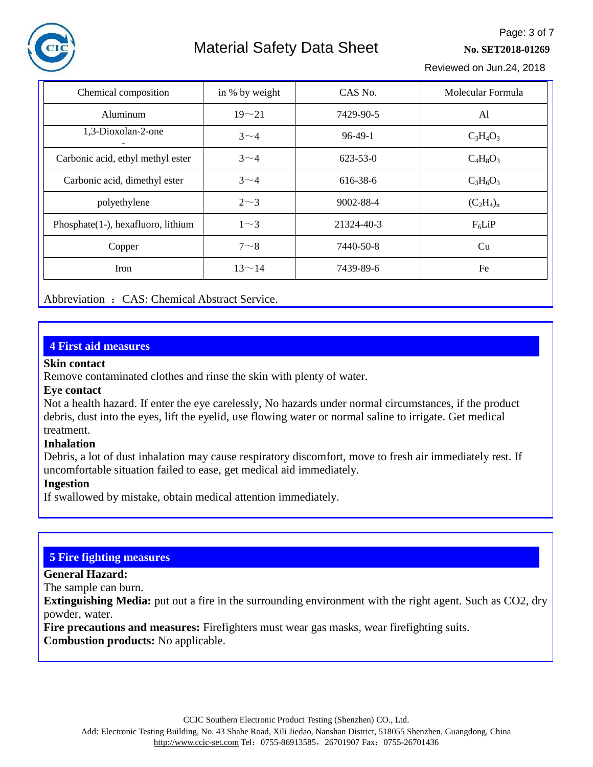

# Material Safety Data Sheet **No. 8212018-01269**

Page: 3 of 7

Reviewed on Jun.24, 2018

| Chemical composition               | in % by weight | CAS No.    | Molecular Formula |
|------------------------------------|----------------|------------|-------------------|
| Aluminum                           | $19 - 21$      | 7429-90-5  | Al                |
| 1,3-Dioxolan-2-one                 | $3\sim4$       | $96-49-1$  | $C_3H_4O_3$       |
| Carbonic acid, ethyl methyl ester  | $3\sim4$       | 623-53-0   | $C_4H_8O_3$       |
| Carbonic acid, dimethyl ester      | $3\sim4$       | 616-38-6   | $C_3H_6O_3$       |
| polyethylene                       | $2\sim3$       | 9002-88-4  | $(C_2H_4)_n$      |
| Phosphate(1-), hexafluoro, lithium | $1\sim3$       | 21324-40-3 | $F_6$ LiP         |
| Copper                             | $7 - 8$        | 7440-50-8  | Cu                |
| <b>Iron</b>                        | $13^{\sim}14$  | 7439-89-6  | Fe                |

Abbreviation : CAS: Chemical Abstract Service.

#### **4 First aid measures**

#### **Skin contact**

Remove contaminated clothes and rinse the skin with plenty of water.

#### **Eye contact**

Not a health hazard. If enter the eye carelessly, No hazards under normal circumstances, if the product debris, dust into the eyes, lift the eyelid, use flowing water or normal saline to irrigate. Get medical treatment.

#### **Inhalation**

Debris, a lot of dust inhalation may cause respiratory discomfort, move to fresh air immediately rest. If uncomfortable situation failed to ease, get medical aid immediately.

#### **Ingestion**

If swallowed by mistake, obtain medical attention immediately.

#### **5 Fire fighting measures**

**General Hazard:**

The sample can burn.

**Extinguishing Media:** put out a fire in the surrounding environment with the right agent. Such as CO2, dry powder, water.

**Fire precautions and measures:** Firefighters must wear gas masks, wear firefighting suits. **Combustion products:** No applicable.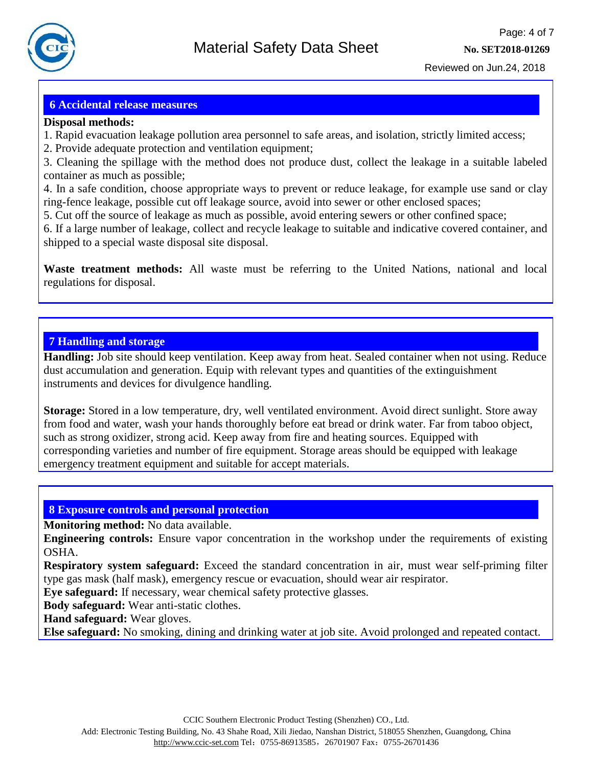

#### **6 Accidental release measures**

#### **Disposal methods:**

- 1. Rapid evacuation leakage pollution area personnel to safe areas, and isolation, strictly limited access;
- 2. Provide adequate protection and ventilation equipment;

3. Cleaning the spillage with the method does not produce dust, collect the leakage in a suitable labeled container as much as possible;

4. In a safe condition, choose appropriate ways to prevent or reduce leakage, for example use sand or clay ring-fence leakage, possible cut off leakage source, avoid into sewer or other enclosed spaces;

5. Cut off the source of leakage as much as possible, avoid entering sewers or other confined space;

6. If a large number of leakage, collect and recycle leakage to suitable and indicative covered container, and shipped to a special waste disposal site disposal.

**Waste treatment methods:** All waste must be referring to the United Nations, national and local regulations for disposal.

#### **7 Handling and storage**

**Handling:** Job site should keep ventilation. Keep away from heat. Sealed container when not using. Reduce dust accumulation and generation. Equip with relevant types and quantities of the extinguishment instruments and devices for divulgence handling.

**Storage:** Stored in a low temperature, dry, well ventilated environment. Avoid direct sunlight. Store away from food and water, wash your hands thoroughly before eat bread or drink water. Far from taboo object, such as strong oxidizer, strong acid. Keep away from fire and heating sources. Equipped with corresponding varieties and number of fire equipment. Storage areas should be equipped with leakage emergency treatment equipment and suitable for accept materials.

#### **8 Exposure controls and personal protection**

**Monitoring method:** No data available.

**Engineering controls:** Ensure vapor concentration in the workshop under the requirements of existing OSHA.

**Respiratory system safeguard:** Exceed the standard concentration in air, must wear self-priming filter type gas mask (half mask), emergency rescue or evacuation, should wear air respirator.

**Eye safeguard:** If necessary, wear chemical safety protective glasses.

**Body safeguard:** Wear anti-static clothes.

**Hand safeguard:** Wear gloves.

**Else safeguard:** No smoking, dining and drinking water at job site. Avoid prolonged and repeated contact.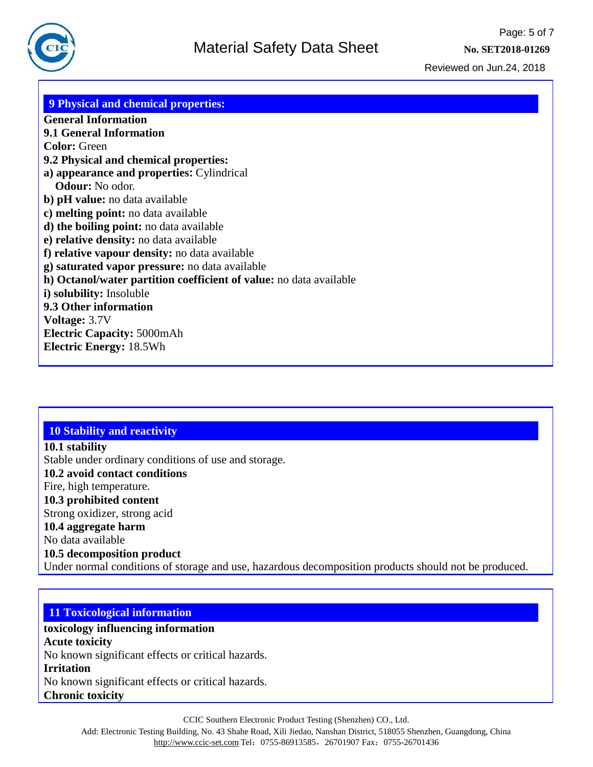#### **9 Physical and chemical properties: General Information 9.1 General Information Color:** Green **9.2 Physical and chemical properties: a) appearance and properties:** Cylindrical **Odour:** No odor. **b) pH value:** no data available **c) melting point:** no data available **d) the boiling point:** no data available **e) relative density:** no data available **f) relative vapour density:** no data available **g) saturated vapor pressure:** no data available **h) Octanol/water partition coefficient of value:** no data available **i) solubility:** Insoluble **9.3 Other information Voltage:** 3.7V **Electric Capacity:** 5000mAh **Electric Energy:** 18.5Wh

## **10 Stability and reactivity**

**10.1 stability** Stable under ordinary conditions of use and storage. **10.2 avoid contact conditions** Fire, high temperature. **10.3 prohibited content** Strong oxidizer, strong acid **10.4 aggregate harm** No data available **10.5 decomposition product** Under normal conditions of storage and use, hazardous decomposition products should not be produced.

#### **11 Toxicological information**

# **toxicology influencing information**

**Acute toxicity** No known significant effects or critical hazards.

#### **Irritation**

No known significant effects or critical hazards. **Chronic toxicity**

CCIC Southern Electronic Product Testing (Shenzhen) CO., Ltd.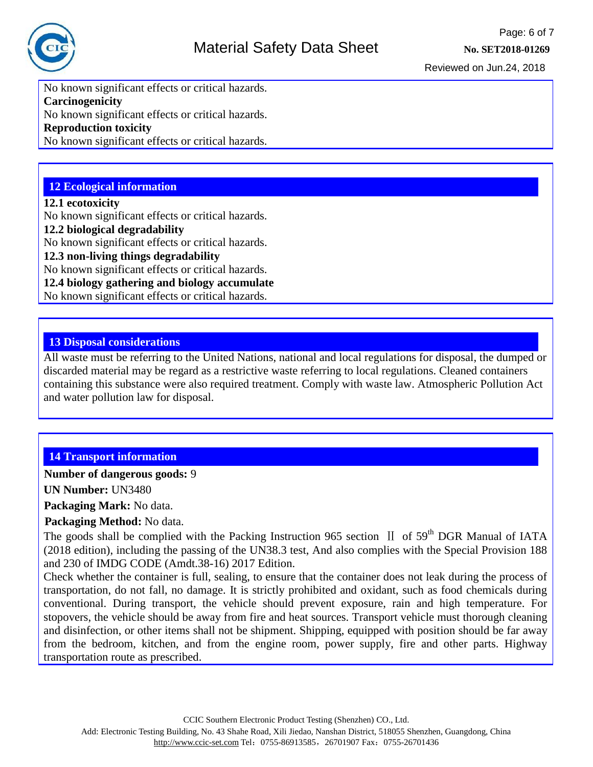

No known significant effects or critical hazards. **Carcinogenicity** No known significant effects or critical hazards. **Reproduction toxicity**

No known significant effects or critical hazards.

### **12 Ecological information**

#### **12.1 ecotoxicity**

No known significant effects or critical hazards.

#### **12.2 biological degradability**

No known significant effects or critical hazards.

**12.3 non-living things degradability**

No known significant effects or critical hazards.

**12.4 biology gathering and biology accumulate**

No known significant effects or critical hazards.

#### **13 Disposal considerations**

All waste must be referring to the United Nations, national and local regulations for disposal, the dumped or discarded material may be regard as a restrictive waste referring to local regulations. Cleaned containers containing this substance were also required treatment. Comply with waste law. Atmospheric Pollution Act and water pollution law for disposal.

### **14 Transport information**

**Number of dangerous goods:** 9

**UN Number:** UN3480

**Packaging Mark:** No data.

**Packaging Method:** No data.

The goods shall be complied with the Packing Instruction 965 section  $\,$  II of 59<sup>th</sup> DGR Manual of IATA (2018 edition), including the passing of the UN38.3 test, And also complies with the Special Provision 188 and 230 of IMDG CODE (Amdt.38-16) 2017 Edition.

Check whether the container is full, sealing, to ensure that the container does not leak during the process of transportation, do not fall, no damage. It is strictly prohibited and oxidant, such as food chemicals during conventional. During transport, the vehicle should prevent exposure, rain and high temperature. For stopovers, the vehicle should be away from fire and heat sources. Transport vehicle must thorough cleaning and disinfection, or other items shall not be shipment. Shipping, equipped with position should be far away from the bedroom, kitchen, and from the engine room, power supply, fire and other parts. Highway transportation route as prescribed.